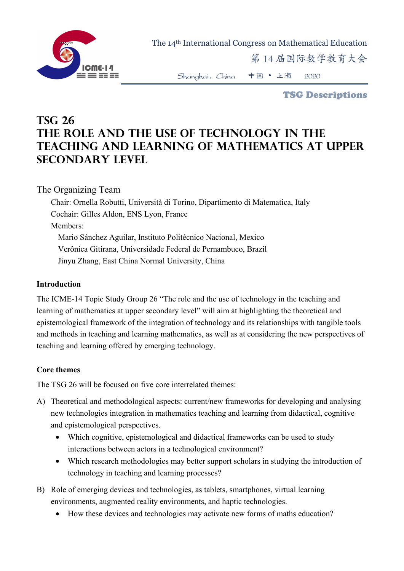

The 14th International Congress on Mathematical Education

第 14 届国际数学教育大会

Shanghai,China 中国 • 上海 2020

TSG Descriptions

## **TSG 26 The role and the use of technology in the teaching and learning of mathematics at upper secondary level**

## The Organizing Team

Chair: Ornella Robutti, Università di Torino, Dipartimento di Matematica, Italy Cochair: Gilles Aldon, ENS Lyon, France Members: Mario Sánchez Aguilar, Instituto Politécnico Nacional, Mexico Verônica Gitirana, Universidade Federal de Pernambuco, Brazil Jinyu Zhang, East China Normal University, China

## **Introduction**

The ICME-14 Topic Study Group 26 "The role and the use of technology in the teaching and learning of mathematics at upper secondary level" will aim at highlighting the theoretical and epistemological framework of the integration of technology and its relationships with tangible tools and methods in teaching and learning mathematics, as well as at considering the new perspectives of teaching and learning offered by emerging technology.

## **Core themes**

The TSG 26 will be focused on five core interrelated themes:

- A) Theoretical and methodological aspects: current/new frameworks for developing and analysing new technologies integration in mathematics teaching and learning from didactical, cognitive and epistemological perspectives.
	- Which cognitive, epistemological and didactical frameworks can be used to study interactions between actors in a technological environment?
	- Which research methodologies may better support scholars in studying the introduction of technology in teaching and learning processes?
- B) Role of emerging devices and technologies, as tablets, smartphones, virtual learning environments, augmented reality environments, and haptic technologies.
	- How these devices and technologies may activate new forms of maths education?